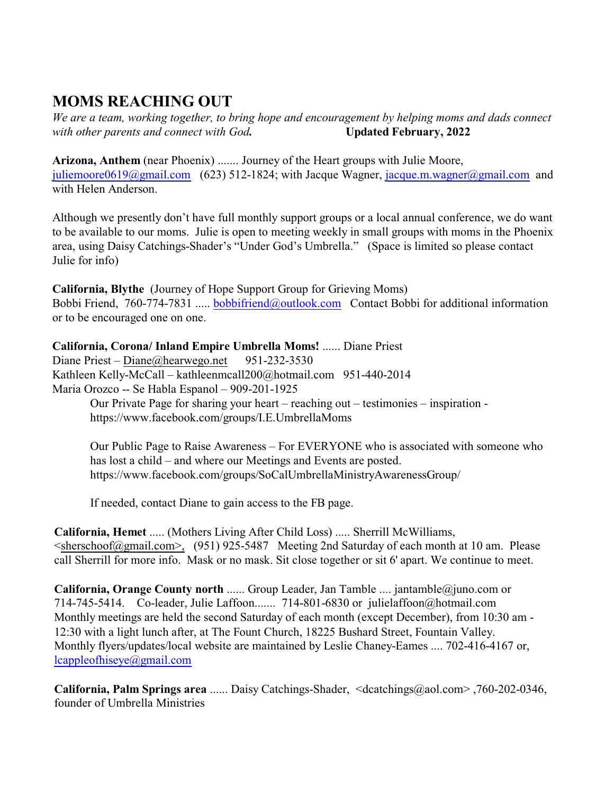## **MOMS REACHING OUT**

*We are a team, working together, to bring hope and encouragement by helping moms and dads connect with other parents and connect with God***. Updated February, 2022** 

**Arizona, Anthem** (near Phoenix) ....... Journey of the Heart groups with Julie Moore, [juliemoore0619@gmail.com](mailto:juliemoore0619@gmail.com,) (623) 512-1824; with Jacque Wagner, [jacque.m.wagner@gmail.com](mailto:jacque.m.wagner@gmail.com) and with Helen Anderson.

Although we presently don't have full monthly support groups or a local annual conference, we do want to be available to our moms. Julie is open to meeting weekly in small groups with moms in the Phoenix area, using Daisy Catchings-Shader's "Under God's Umbrella." (Space is limited so please contact Julie for info)

**California, Blythe** (Journey of Hope Support Group for Grieving Moms) Bobbi Friend, 760-774-7831 ..... [bobbifriend@outlook.com](mailto:bobbifriend@outlook.com) Contact Bobbi for additional information or to be encouraged one on one.

**California, Corona/ Inland Empire Umbrella Moms!** ...... Diane Priest Diane Priest – [Diane@hearwego.net](mailto:Diane@hearwego.net) 951-232-3530 Kathleen Kelly-McCall – kathleenmcall200@hotmail.com 951-440-2014 Maria Orozco -- Se Habla Espanol – 909-201-1925 Our Private Page for sharing your heart – reaching out – testimonies – inspiration -

https://www.facebook.com/groups/I.E.UmbrellaMoms

Our Public Page to Raise Awareness – For EVERYONE who is associated with someone who has lost a child – and where our Meetings and Events are posted. https://www.facebook.com/groups/SoCalUmbrellaMinistryAwarenessGroup/

If needed, contact Diane to gain access to the FB page.

**California, Hemet** ..... (Mothers Living After Child Loss) ..... Sherrill McWilliams, [<sherschoof@gmail.com>,](mailto:sherschoof@gmail.com>,) (951) 925-5487 Meeting 2nd Saturday of each month at 10 am. Please call Sherrill for more info. Mask or no mask. Sit close together or sit 6' apart. We continue to meet.

**California, Orange County north** ...... Group Leader, Jan Tamble .... jantamble@juno.com or 714-745-5414. Co-leader, Julie Laffoon....... 714-801-6830 or julielaffoon@hotmail.com Monthly meetings are held the second Saturday of each month (except December), from 10:30 am - 12:30 with a light lunch after, at The Fount Church, 18225 Bushard Street, Fountain Valley. Monthly flyers/updates/local website are maintained by Leslie Chaney-Eames .... 702-416-4167 or, [lcappleofhiseye@gmail.com](mailto:lcappleofhiseye@gmail.com)

**California, Palm Springs area** ...... Daisy Catchings-Shader, <dcatchings@aol.com> ,760-202-0346, founder of Umbrella Ministries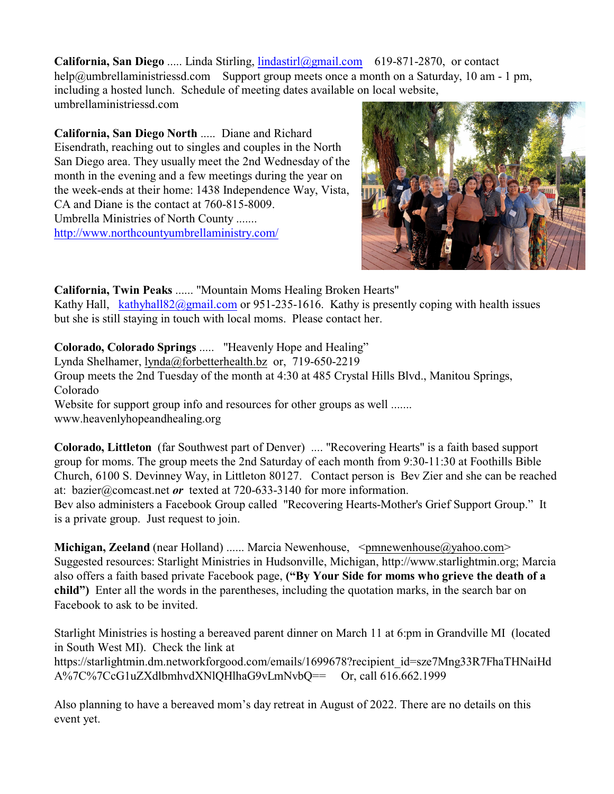**California, San Diego** ..... Linda Stirling, [lindastirl@gmail.com](mailto:lindastirl@gmail.com,) 619-871-2870, or contact help@umbrellaministriessd.com Support group meets once a month on a Saturday, 10 am - 1 pm, including a hosted lunch. Schedule of meeting dates available on local website, umbrellaministriessd.com

**California, San Diego North** ..... Diane and Richard Eisendrath, reaching out to singles and couples in the North San Diego area. They usually meet the 2nd Wednesday of the month in the evening and a few meetings during the year on the week-ends at their home: 1438 Independence Way, Vista, CA and Diane is the contact at 760-815-8009. Umbrella Ministries of North County ....... <http://www.northcountyumbrellaministry.com/>



**California, Twin Peaks** ...... "Mountain Moms Healing Broken Hearts" Kathy Hall, [kathyhall82@gmail.com](mailto:kathyhall82@gmail.com) or 951-235-1616. Kathy is presently coping with health issues but she is still staying in touch with local moms. Please contact her.

**Colorado, Colorado Springs** ..... "Heavenly Hope and Healing"

Lynda Shelhamer, [lynda@forbetterhealth.bz](mailto:lynda@forbetterhealth.bz;) or, 719-650-2219

Group meets the 2nd Tuesday of the month at 4:30 at 485 Crystal Hills Blvd., Manitou Springs, Colorado

Website for support group info and resources for other groups as well ....... www.heavenlyhopeandhealing.org

**Colorado, Littleton** (far Southwest part of Denver) .... "Recovering Hearts" is a faith based support group for moms. The group meets the 2nd Saturday of each month from 9:30-11:30 at Foothills Bible Church, 6100 S. Devinney Way, in Littleton 80127. Contact person is Bev Zier and she can be reached at: bazier@comcast.net *or* texted at 720-633-3140 for more information. Bev also administers a Facebook Group called "Recovering Hearts-Mother's Grief Support Group." It

is a private group. Just request to join.

**Michigan, Zeeland** (near Holland) ...... Marcia Newenhouse, [<pmnewenhouse@yahoo.com>](mailto:pmnewenhouse@yahoo.com) Suggested resources: Starlight Ministries in Hudsonville, Michigan, http://www.starlightmin.org; Marcia also offers a faith based private Facebook page, **("By Your Side for moms who grieve the death of a child")** Enter all the words in the parentheses, including the quotation marks, in the search bar on Facebook to ask to be invited.

Starlight Ministries is hosting a bereaved parent dinner on March 11 at 6:pm in Grandville MI (located in South West MI). Check the link at https://starlightmin.dm.networkforgood.com/emails/1699678?recipient\_id=sze7Mng33R7FhaTHNaiHd A%7C%7CcG1uZXdlbmhvdXNlQHlhaG9vLmNvbQ== Or, call 616.662.1999

Also planning to have a bereaved mom's day retreat in August of 2022. There are no details on this event yet.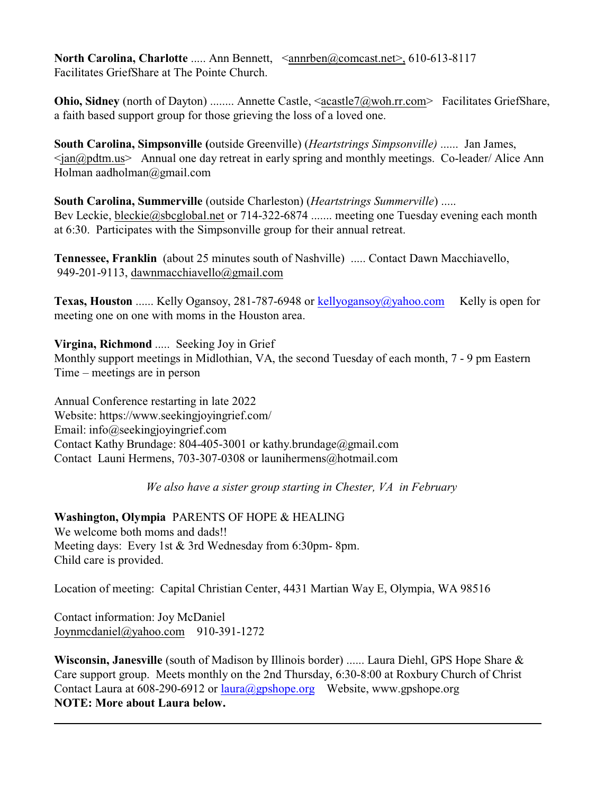**North Carolina, Charlotte** ..... Ann Bennett, [<annrben@comcast.net>,](mailto:annrben@comcast.net>,) 610-613-8117 Facilitates GriefShare at The Pointe Church.

**Ohio, Sidney** (north of Dayton) ........ Annette Castle, [<acastle7@woh.rr.com](mailto:acastle7@woh.rr.com)> Facilitates GriefShare, a faith based support group for those grieving the loss of a loved one.

**South Carolina, Simpsonville (**outside Greenville) (*Heartstrings Simpsonville)* ...... Jan James,  $\langle$ ian@pdtm.us> Annual one day retreat in early spring and monthly meetings. Co-leader/ Alice Ann Holman aadholman@gmail.com

**South Carolina, Summerville** (outside Charleston) (*Heartstrings Summerville*) ..... Bev Leckie, [bleckie@sbcglobal.net](mailto:bleckie@sbcglobal.net) or 714-322-6874 ....... meeting one Tuesday evening each month at 6:30. Participates with the Simpsonville group for their annual retreat.

**Tennessee, Franklin** (about 25 minutes south of Nashville) ..... Contact Dawn Macchiavello, 949-201-9113, [dawnmacchiavello@gmail.com](mailto:dawnmacchiavello@gmail.com)

**Texas, Houston** ...... Kelly Ogansoy, 281-787-6948 or [kellyogansoy@yahoo.com](mailto:kellyogansoy@yahoo.com) Kelly is open for meeting one on one with moms in the Houston area.

**Virgina, Richmond** ..... Seeking Joy in Grief

Monthly support meetings in Midlothian, VA, the second Tuesday of each month, 7 - 9 pm Eastern Time – meetings are in person

Annual Conference restarting in late 2022 Website: https://www.seekingjoyingrief.com/ Email: info@seekingjoyingrief.com Contact Kathy Brundage: 804-405-3001 or kathy.brundage@gmail.com Contact Launi Hermens, 703-307-0308 or launihermens@hotmail.com

*We also have a sister group starting in Chester, VA in February*

**Washington, Olympia** PARENTS OF HOPE & HEALING We welcome both moms and dads!! Meeting days: Every 1st & 3rd Wednesday from 6:30pm- 8pm. Child care is provided.

Location of meeting: Capital Christian Center, 4431 Martian Way E, Olympia, WA 98516

Contact information: Joy McDaniel [Joynmcdaniel@yahoo.com](mailto:Joynmcdaniel@yahoo.com) 910-391-1272

**Wisconsin, Janesville** (south of Madison by Illinois border) ...... Laura Diehl, GPS Hope Share & Care support group. Meets monthly on the 2nd Thursday, 6:30-8:00 at Roxbury Church of Christ Contact Laura at 608-290-6912 or [laura@gpshope.org](mailto:laura@gpshope.org) Website, www.gpshope.org **NOTE: More about Laura below.**

**\_\_\_\_\_\_\_\_\_\_\_\_\_\_\_\_\_\_\_\_\_\_\_\_\_\_\_\_\_\_\_\_\_\_\_\_\_\_\_\_\_\_\_\_\_\_\_\_\_\_\_\_\_\_\_\_\_\_\_\_\_\_\_\_\_\_\_\_\_\_\_\_\_\_\_\_\_\_\_\_\_**